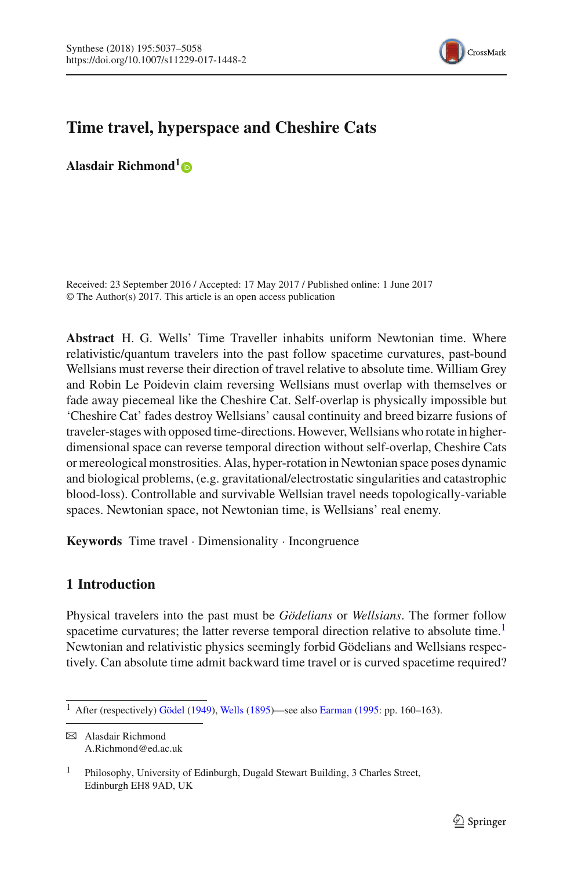

# **Time travel, hyperspace and Cheshire Cats**

**Alasdair Richmond[1](http://orcid.org/0000-0002-9480-4370)**

Received: 23 September 2016 / Accepted: 17 May 2017 / Published online: 1 June 2017 © The Author(s) 2017. This article is an open access publication

**Abstract** H. G. Wells' Time Traveller inhabits uniform Newtonian time. Where relativistic/quantum travelers into the past follow spacetime curvatures, past-bound Wellsians must reverse their direction of travel relative to absolute time. William Grey and Robin Le Poidevin claim reversing Wellsians must overlap with themselves or fade away piecemeal like the Cheshire Cat. Self-overlap is physically impossible but 'Cheshire Cat' fades destroy Wellsians' causal continuity and breed bizarre fusions of traveler-stages with opposed time-directions. However,Wellsians who rotate in higherdimensional space can reverse temporal direction without self-overlap, Cheshire Cats or mereological monstrosities. Alas, hyper-rotation in Newtonian space poses dynamic and biological problems, (e.g. gravitational/electrostatic singularities and catastrophic blood-loss). Controllable and survivable Wellsian travel needs topologically-variable spaces. Newtonian space, not Newtonian time, is Wellsians' real enemy.

**Keywords** Time travel · Dimensionality · Incongruence

## <span id="page-0-0"></span>**1 Introduction**

Physical travelers into the past must be *Gödelians* or *Wellsians*. The former follow spacetime curvatures; the latter reverse temporal direction relative to absolute time.<sup>1</sup> Newtonian and relativistic physics seemingly forbid Gödelians and Wellsians respectively. Can absolute time admit backward time travel or is curved spacetime required?

B Alasdair Richmond A.Richmond@ed.ac.uk

<sup>&</sup>lt;sup>1</sup> After (respectively) [Gödel](#page-20-0) [\(1949](#page-20-0)), [Wells](#page-21-0) [\(1895](#page-21-0))—see also [Earman](#page-20-1) [\(1995](#page-20-1): pp. 160–163).

<sup>&</sup>lt;sup>1</sup> Philosophy, University of Edinburgh, Dugald Stewart Building, 3 Charles Street, Edinburgh EH8 9AD, UK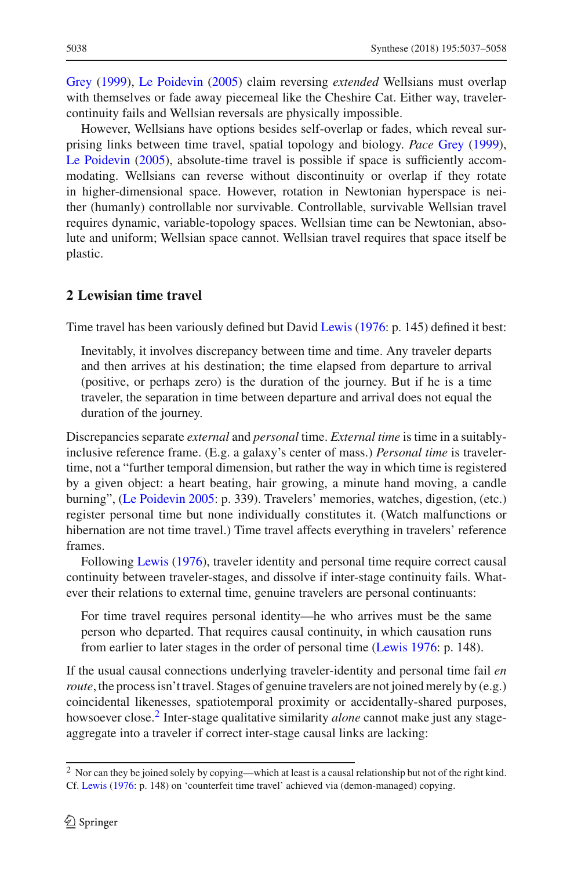[Grey](#page-20-2) [\(1999](#page-20-2)), [Le Poidevin](#page-20-3) [\(2005](#page-20-3)) claim reversing *extended* Wellsians must overlap with themselves or fade away piecemeal like the Cheshire Cat. Either way, travelercontinuity fails and Wellsian reversals are physically impossible.

However, Wellsians have options besides self-overlap or fades, which reveal surprising links between time travel, spatial topology and biology. *Pace* [Grey](#page-20-2) [\(1999](#page-20-2)), [Le Poidevin](#page-20-3) [\(2005\)](#page-20-3), absolute-time travel is possible if space is sufficiently accommodating. Wellsians can reverse without discontinuity or overlap if they rotate in higher-dimensional space. However, rotation in Newtonian hyperspace is neither (humanly) controllable nor survivable. Controllable, survivable Wellsian travel requires dynamic, variable-topology spaces. Wellsian time can be Newtonian, absolute and uniform; Wellsian space cannot. Wellsian travel requires that space itself be plastic.

## <span id="page-1-1"></span>**2 Lewisian time travel**

Time travel has been variously defined but David [Lewis](#page-20-4) [\(1976](#page-20-4): p. 145) defined it best:

Inevitably, it involves discrepancy between time and time. Any traveler departs and then arrives at his destination; the time elapsed from departure to arrival (positive, or perhaps zero) is the duration of the journey. But if he is a time traveler, the separation in time between departure and arrival does not equal the duration of the journey.

Discrepancies separate *external* and *personal* time. *External time* is time in a suitablyinclusive reference frame. (E.g. a galaxy's center of mass.) *Personal time* is travelertime, not a "further temporal dimension, but rather the way in which time is registered by a given object: a heart beating, hair growing, a minute hand moving, a candle burning", [\(Le Poidevin 2005](#page-20-3): p. 339). Travelers' memories, watches, digestion, (etc.) register personal time but none individually constitutes it. (Watch malfunctions or hibernation are not time travel.) Time travel affects everything in travelers' reference frames.

Following [Lewis](#page-20-4) [\(1976\)](#page-20-4), traveler identity and personal time require correct causal continuity between traveler-stages, and dissolve if inter-stage continuity fails. Whatever their relations to external time, genuine travelers are personal continuants:

For time travel requires personal identity—he who arrives must be the same person who departed. That requires causal continuity, in which causation runs from earlier to later stages in the order of personal time [\(Lewis 1976:](#page-20-4) p. 148).

If the usual causal connections underlying traveler-identity and personal time fail *en route*, the process isn't travel. Stages of genuine travelers are not joined merely by (e.g.) coincidental likenesses, spatiotemporal proximity or accidentally-shared purposes, howsoever close.<sup>[2](#page-1-0)</sup> Inter-stage qualitative similarity *alone* cannot make just any stageaggregate into a traveler if correct inter-stage causal links are lacking:

<span id="page-1-0"></span><sup>2</sup> Nor can they be joined solely by copying—which at least is a causal relationship but not of the right kind. Cf. [Lewis](#page-20-4) [\(1976:](#page-20-4) p. 148) on 'counterfeit time travel' achieved via (demon-managed) copying.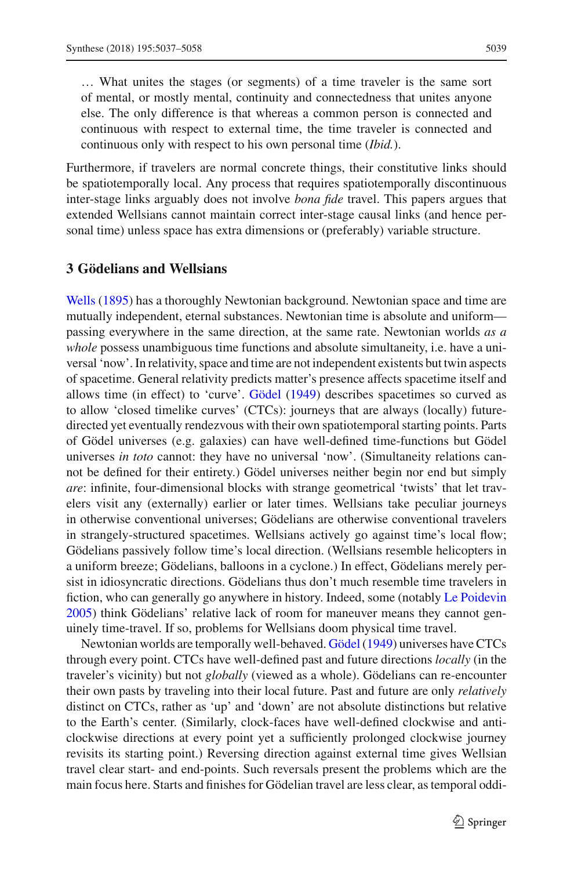… What unites the stages (or segments) of a time traveler is the same sort of mental, or mostly mental, continuity and connectedness that unites anyone else. The only difference is that whereas a common person is connected and continuous with respect to external time, the time traveler is connected and continuous only with respect to his own personal time (*Ibid.*).

Furthermore, if travelers are normal concrete things, their constitutive links should be spatiotemporally local. Any process that requires spatiotemporally discontinuous inter-stage links arguably does not involve *bona fide* travel. This papers argues that extended Wellsians cannot maintain correct inter-stage causal links (and hence personal time) unless space has extra dimensions or (preferably) variable structure.

#### <span id="page-2-0"></span>**3 Gödelians and Wellsians**

Wells [\(1895\)](#page-21-0) has a thoroughly Newtonian background. Newtonian space and time are mutually independent, eternal substances. Newtonian time is absolute and uniform passing everywhere in the same direction, at the same rate. Newtonian worlds *as a whole* possess unambiguous time functions and absolute simultaneity, i.e. have a universal 'now'. In relativity, space and time are not independent existents but twin aspects of spacetime. General relativity predicts matter's presence affects spacetime itself and allows time (in effect) to 'curve'. [Gödel](#page-20-0) [\(1949](#page-20-0)) describes spacetimes so curved as to allow 'closed timelike curves' (CTCs): journeys that are always (locally) futuredirected yet eventually rendezvous with their own spatiotemporal starting points. Parts of Gödel universes (e.g. galaxies) can have well-defined time-functions but Gödel universes *in toto* cannot: they have no universal 'now'. (Simultaneity relations cannot be defined for their entirety.) Gödel universes neither begin nor end but simply *are*: infinite, four-dimensional blocks with strange geometrical 'twists' that let travelers visit any (externally) earlier or later times. Wellsians take peculiar journeys in otherwise conventional universes; Gödelians are otherwise conventional travelers in strangely-structured spacetimes. Wellsians actively go against time's local flow; Gödelians passively follow time's local direction. (Wellsians resemble helicopters in a uniform breeze; Gödelians, balloons in a cyclone.) In effect, Gödelians merely persist in idiosyncratic directions. Gödelians thus don't much resemble time travelers in fiction, who can generally go anywhere in history. Indeed, some (notably [Le Poidevin](#page-20-3) [2005\)](#page-20-3) think Gödelians' relative lack of room for maneuver means they cannot genuinely time-travel. If so, problems for Wellsians doom physical time travel.

Newtonian worlds are temporally well-behaved. [Gödel\(1949\)](#page-20-0) universes have CTCs through every point. CTCs have well-defined past and future directions *locally* (in the traveler's vicinity) but not *globally* (viewed as a whole). Gödelians can re-encounter their own pasts by traveling into their local future. Past and future are only *relatively* distinct on CTCs, rather as 'up' and 'down' are not absolute distinctions but relative to the Earth's center. (Similarly, clock-faces have well-defined clockwise and anticlockwise directions at every point yet a sufficiently prolonged clockwise journey revisits its starting point.) Reversing direction against external time gives Wellsian travel clear start- and end-points. Such reversals present the problems which are the main focus here. Starts and finishes for Gödelian travel are less clear, as temporal oddi-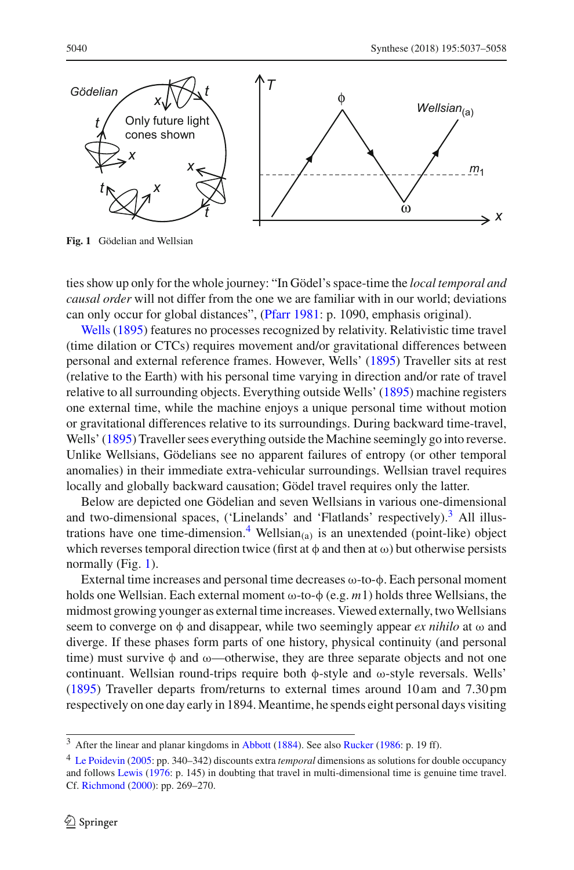

<span id="page-3-2"></span>**Fig. 1** Gödelian and Wellsian

ties show up only for the whole journey: "In Gödel's space-time the *local temporal and causal order* will not differ from the one we are familiar with in our world; deviations [can](#page-21-0) [only](#page-21-0) occur for global distances", [\(Pfarr 1981:](#page-21-1) p. 1090, emphasis original).

Wells [\(1895\)](#page-21-0) features no processes recognized by relativity. Relativistic time travel (time dilation or CTCs) requires movement and/or gravitational differences between personal and external reference frames. However, Wells' [\(1895](#page-21-0)) Traveller sits at rest (relative to the Earth) with his personal time varying in direction and/or rate of travel relative to all surrounding objects. Everything outside Wells' [\(1895\)](#page-21-0) machine registers one external time, while the machine enjoys a unique personal time without motion or gravitational differences relative to its surroundings. During backward time-travel, Wells' [\(1895](#page-21-0)) Traveller sees everything outside the Machine seemingly go into reverse. Unlike Wellsians, Gödelians see no apparent failures of entropy (or other temporal anomalies) in their immediate extra-vehicular surroundings. Wellsian travel requires locally and globally backward causation; Gödel travel requires only the latter.

Below are depicted one Gödelian and seven Wellsians in various one-dimensional and two-dimensional spaces, ('Linelands' and 'Flatlands' respectively).<sup>3</sup> All illus-trations have one time-dimension.<sup>[4](#page-3-1)</sup> Wellsian<sub>(a)</sub> is an unextended (point-like) object which reverses temporal direction twice (first at  $\phi$  and then at  $\omega$ ) but otherwise persists normally (Fig. [1\)](#page-3-2).

External time increases and personal time decreases  $\omega$ -to- $\varphi$ . Each personal moment holds one Wellsian. Each external moment ω-to-φ (e.g. *m*1) holds three Wellsians, the midmost growing younger as external time increases. Viewed externally, two Wellsians seem to converge on  $\phi$  and disappear, while two seemingly appear *ex nihilo* at  $\omega$  and diverge. If these phases form parts of one history, physical continuity (and personal time) must survive  $\phi$  and  $\omega$ —otherwise, they are three separate objects and not one continuant. Wellsian round-trips require both  $\phi$ -style and  $\omega$ -style reversals. Wells' [\(1895\)](#page-21-0) Traveller departs from/returns to external times around 10 am and 7.30 pm respectively on one day early in 1894. Meantime, he spends eight personal days visiting

<sup>3</sup> After the linear and planar kingdoms in [Abbott](#page-20-5) [\(1884](#page-20-5)). See also [Rucker](#page-21-2) [\(1986:](#page-21-2) p. 19 ff).

<span id="page-3-1"></span><span id="page-3-0"></span><sup>4</sup> [Le Poidevin](#page-20-3) [\(2005](#page-20-3): pp. 340–342) discounts extra *temporal* dimensions as solutions for double occupancy and follows [Lewis](#page-20-4) [\(1976](#page-20-4): p. 145) in doubting that travel in multi-dimensional time is genuine time travel. Cf. [Richmond](#page-21-3) [\(2000\)](#page-21-3): pp. 269–270.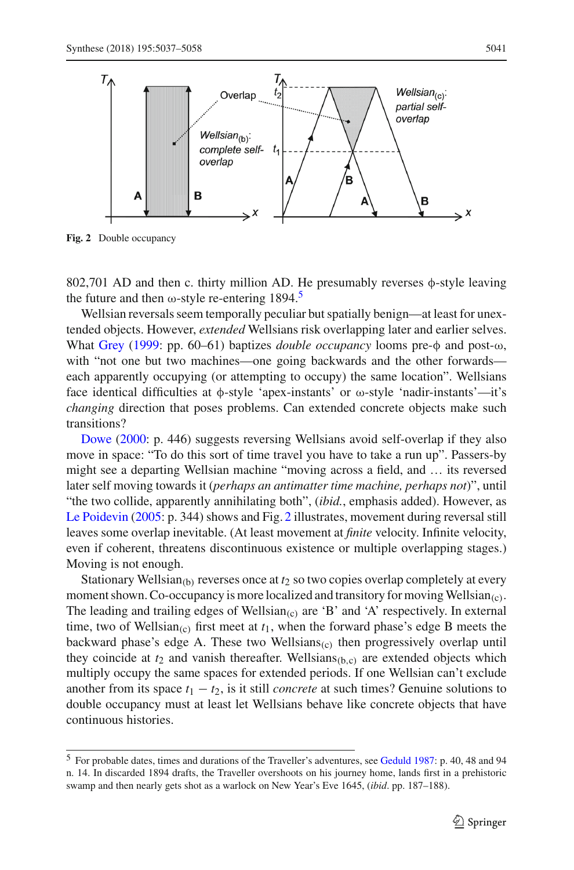

<span id="page-4-1"></span>**Fig. 2** Double occupancy

802,701 AD and then c. thirty million AD. He presumably reverses φ-style leaving the future and then  $\omega$ -style re-entering 1894.<sup>[5](#page-4-0)</sup>

Wellsian reversals seem temporally peculiar but spatially benign—at least for unextended objects. However, *extended* Wellsians risk overlapping later and earlier selves. What [Grey](#page-20-2) [\(1999:](#page-20-2) pp. 60–61) baptizes *double occupancy* looms pre-φ and post-ω, with "not one but two machines—one going backwards and the other forwards each apparently occupying (or attempting to occupy) the same location". Wellsians face identical difficulties at φ-style 'apex-instants' or ω-style 'nadir-instants'—it's *changing* direction that poses problems. Can extended concrete objects make such [transition](#page-20-6)s?

Dowe [\(2000:](#page-20-6) p. 446) suggests reversing Wellsians avoid self-overlap if they also move in space: "To do this sort of time travel you have to take a run up". Passers-by might see a departing Wellsian machine "moving across a field, and … its reversed later self moving towards it (*perhaps an antimatter time machine, perhaps not*)", until "the two collide, apparently annihilating both", (*ibid.*, emphasis added). However, as [Le Poidevin](#page-20-3) [\(2005:](#page-20-3) p. 344) shows and Fig. [2](#page-4-1) illustrates, movement during reversal still leaves some overlap inevitable. (At least movement at *finite* velocity. Infinite velocity, even if coherent, threatens discontinuous existence or multiple overlapping stages.) Moving is not enough.

Stationary Wellsian<sub>(b)</sub> reverses once at  $t_2$  so two copies overlap completely at every moment shown. Co-occupancy is more localized and transitory for moving Wellsian<sub>(c)</sub>. The leading and trailing edges of Wellsian*(*c*)* are 'B' and 'A' respectively. In external time, two of Wellsian<sub>(c)</sub> first meet at  $t_1$ , when the forward phase's edge B meets the backward phase's edge A. These two Wellsians*(*c*)* then progressively overlap until they coincide at  $t_2$  and vanish thereafter. Wellsians<sub>(b,c)</sub> are extended objects which multiply occupy the same spaces for extended periods. If one Wellsian can't exclude another from its space  $t_1 - t_2$ , is it still *concrete* at such times? Genuine solutions to double occupancy must at least let Wellsians behave like concrete objects that have continuous histories.

<span id="page-4-0"></span><sup>5</sup> For probable dates, times and durations of the Traveller's adventures, see [Geduld 1987:](#page-20-7) p. 40, 48 and 94 n. 14. In discarded 1894 drafts, the Traveller overshoots on his journey home, lands first in a prehistoric swamp and then nearly gets shot as a warlock on New Year's Eve 1645, (*ibid*. pp. 187–188).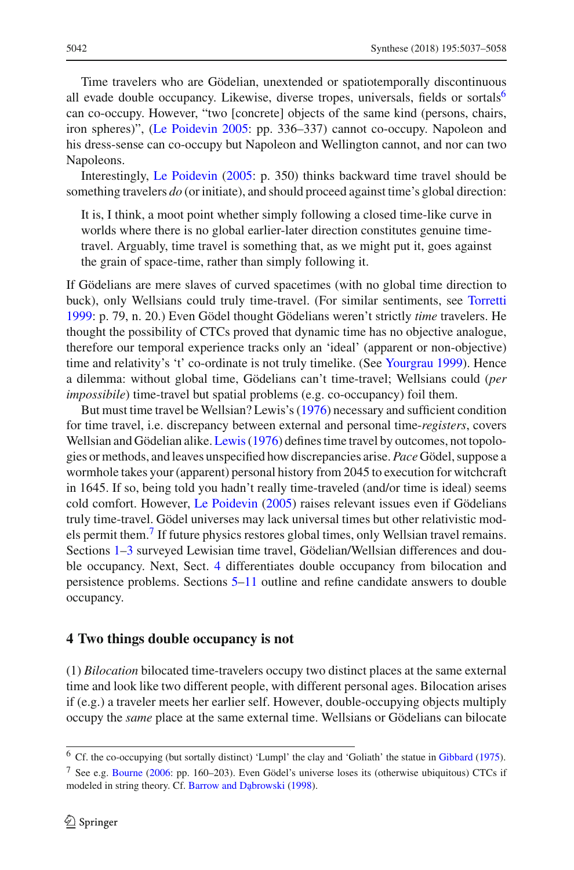Time travelers who are Gödelian, unextended or spatiotemporally discontinuous all evade double occupancy. Likewise, diverse tropes, universals, fields or sortals $\frac{6}{10}$ can co-occupy. However, "two [concrete] objects of the same kind (persons, chairs, iron spheres)", [\(Le Poidevin 2005](#page-20-3): pp. 336–337) cannot co-occupy. Napoleon and his dress-sense can co-occupy but Napoleon and Wellington cannot, and nor can two Napoleons.

Interestingly, [Le Poidevin](#page-20-3) [\(2005](#page-20-3): p. 350) thinks backward time travel should be something travelers *do* (or initiate), and should proceed against time's global direction:

It is, I think, a moot point whether simply following a closed time-like curve in worlds where there is no global earlier-later direction constitutes genuine timetravel. Arguably, time travel is something that, as we might put it, goes against the grain of space-time, rather than simply following it.

If Gödelians are mere slaves of curved spacetimes (with no global time direction to buck), only Wellsians could truly time-travel. (For similar sentiments, see [Torretti](#page-21-4) [1999:](#page-21-4) p. 79, n. 20.) Even Gödel thought Gödelians weren't strictly *time* travelers. He thought the possibility of CTCs proved that dynamic time has no objective analogue, therefore our temporal experience tracks only an 'ideal' (apparent or non-objective) time and relativity's 't' co-ordinate is not truly timelike. (See [Yourgrau 1999](#page-21-5)). Hence a dilemma: without global time, Gödelians can't time-travel; Wellsians could (*per impossibile*) time-travel but spatial problems (e.g. co-occupancy) foil them.

But must time travel be Wellsian? Lewis's [\(1976](#page-20-4)) necessary and sufficient condition for time travel, i.e. discrepancy between external and personal time-*registers*, covers Wellsian and Gödelian alike. Lewis (1976) defines time travel by outcomes, not topologies or methods, and leaves unspecified how discrepancies arise.*Pace* Gödel, suppose a wormhole takes your (apparent) personal history from 2045 to execution for witchcraft in 1645. If so, being told you hadn't really time-traveled (and/or time is ideal) seems cold comfort. However, [Le Poidevin](#page-20-3) [\(2005\)](#page-20-3) raises relevant issues even if Gödelians truly time-travel. Gödel universes may lack universal times but other relativistic models permit them.[7](#page-5-1) If future physics restores global times, only Wellsian travel remains. Sections [1](#page-0-0)[–3](#page-2-0) surveyed Lewisian time travel, Gödelian/Wellsian differences and double occupancy. Next, Sect. [4](#page-5-2) differentiates double occupancy from bilocation and persistence problems. Sections [5](#page-6-0)[–11](#page-19-0) outline and refine candidate answers to double occupancy.

#### <span id="page-5-2"></span>**4 Two things double occupancy is not**

(1) *Bilocation* bilocated time-travelers occupy two distinct places at the same external time and look like two different people, with different personal ages. Bilocation arises if (e.g.) a traveler meets her earlier self. However, double-occupying objects multiply occupy the *same* place at the same external time. Wellsians or Gödelians can bilocate

<sup>6</sup> Cf. the co-occupying (but sortally distinct) 'Lumpl' the clay and 'Goliath' the statue in [Gibbard](#page-20-8) [\(1975\)](#page-20-8).

<span id="page-5-1"></span><span id="page-5-0"></span><sup>&</sup>lt;sup>7</sup> See e.g. [Bourne](#page-20-9) [\(2006:](#page-20-9) pp. 160–203). Even Gödel's universe loses its (otherwise ubiquitous) CTCs if modeled in string theory. Cf. Barrow and Dabrowski [\(1998\)](#page-20-10).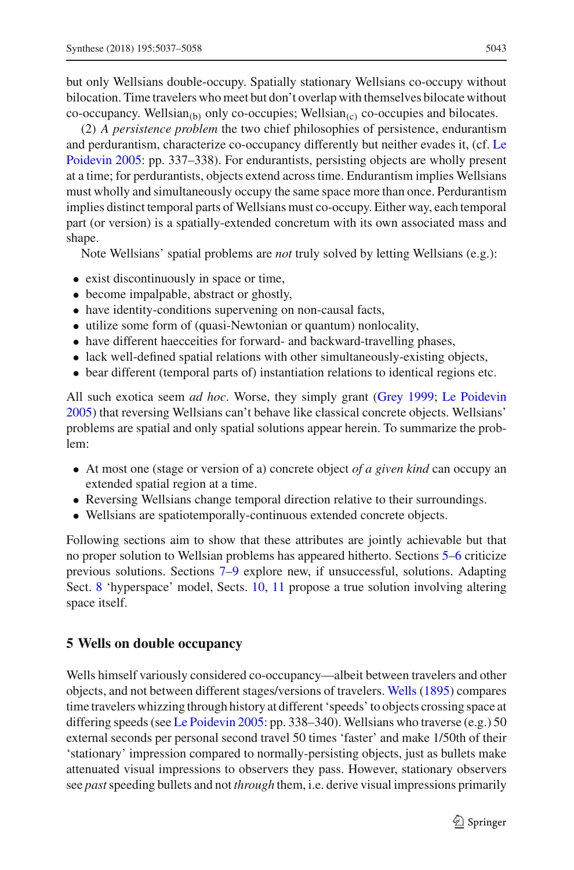but only Wellsians double-occupy. Spatially stationary Wellsians co-occupy without bilocation. Time travelers who meet but don't overlap with themselves bilocate without co-occupancy. Wellsian*(*b*)* only co-occupies; Wellsian*(*c*)* co-occupies and bilocates.

(2) *A persistence problem* the two chief philosophies of persistence, endurantism and perd[urantism,](#page-20-3) [characterize](#page-20-3) [co-occupancy](#page-20-3) [differently](#page-20-3) [but](#page-20-3) [neither](#page-20-3) [evades](#page-20-3) [it,](#page-20-3) [\(cf.](#page-20-3) Le Poidevin [2005](#page-20-3): pp. 337–338). For endurantists, persisting objects are wholly present at a time; for perdurantists, objects extend across time. Endurantism implies Wellsians must wholly and simultaneously occupy the same space more than once. Perdurantism implies distinct temporal parts of Wellsians must co-occupy. Either way, each temporal part (or version) is a spatially-extended concretum with its own associated mass and shape.

Note Wellsians' spatial problems are *not* truly solved by letting Wellsians (e.g.):

- exist discontinuously in space or time,
- become impalpable, abstract or ghostly,
- have identity-conditions supervening on non-causal facts,
- utilize some form of (quasi-Newtonian or quantum) nonlocality,
- have different haecceities for forward- and backward-travelling phases,
- lack well-defined spatial relations with other simultaneously-existing objects,
- bear different (temporal parts of) instantiation relations to identical regions etc.

All such exotica seem *ad hoc*. Worse, they simply grant [\(Grey 1999](#page-20-2); [Le Poidevin](#page-20-3) [2005\)](#page-20-3) that reversing Wellsians can't behave like classical concrete objects. Wellsians' problems are spatial and only spatial solutions appear herein. To summarize the problem:

- At most one (stage or version of a) concrete object *of a given kind* can occupy an extended spatial region at a time.
- Reversing Wellsians change temporal direction relative to their surroundings.
- Wellsians are spatiotemporally-continuous extended concrete objects.

Following sections aim to show that these attributes are jointly achievable but that no proper solution to Wellsian problems has appeared hitherto. Sections [5–](#page-6-0)[6](#page-8-0) criticize previous solutions. Sections [7](#page-11-0)[–9](#page-15-0) explore new, if unsuccessful, solutions. Adapting Sect. [8](#page-12-0) 'hyperspace' model, Sects. [10,](#page-17-0) [11](#page-19-0) propose a true solution involving altering space itself.

## <span id="page-6-0"></span>**5 Wells on double occupancy**

Wells himself variously considered co-occupancy—albeit between travelers and other objects, and not between different stages/versions of travelers. [Wells](#page-21-0) [\(1895\)](#page-21-0) compares time travelers whizzing through history at different 'speeds' to objects crossing space at differing speeds (see [Le Poidevin 2005](#page-20-3): pp. 338–340). Wellsians who traverse (e.g.) 50 external seconds per personal second travel 50 times 'faster' and make 1/50th of their 'stationary' impression compared to normally-persisting objects, just as bullets make attenuated visual impressions to observers they pass. However, stationary observers see *past*speeding bullets and not *through* them, i.e. derive visual impressions primarily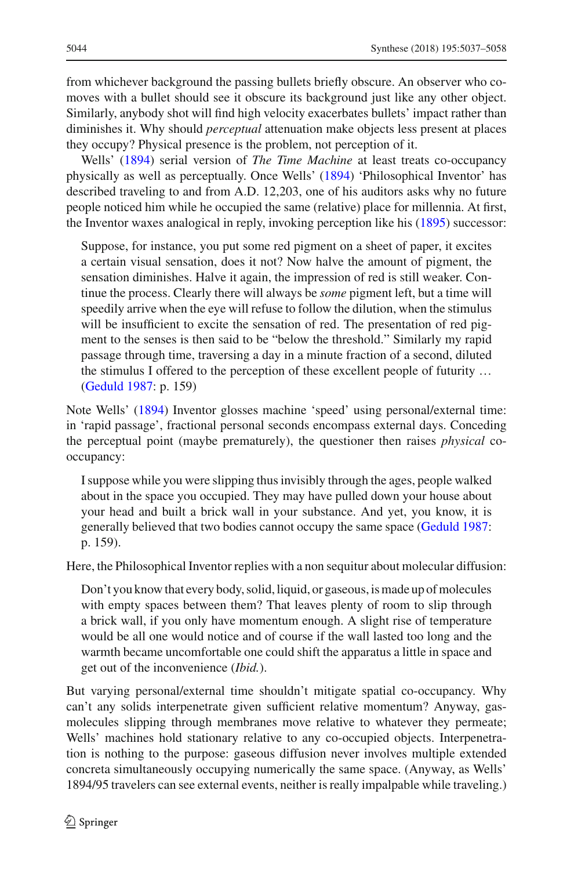from whichever background the passing bullets briefly obscure. An observer who comoves with a bullet should see it obscure its background just like any other object. Similarly, anybody shot will find high velocity exacerbates bullets' impact rather than diminishes it. Why should *perceptual* attenuation make objects less present at places they occupy? Physical presence is the problem, not perception of it.

Wells' [\(1894](#page-21-6)) serial version of *The Time Machine* at least treats co-occupancy physically as well as perceptually. Once Wells' [\(1894](#page-21-6)) 'Philosophical Inventor' has described traveling to and from A.D. 12,203, one of his auditors asks why no future people noticed him while he occupied the same (relative) place for millennia. At first, the Inventor waxes analogical in reply, invoking perception like his [\(1895](#page-21-0)) successor:

Suppose, for instance, you put some red pigment on a sheet of paper, it excites a certain visual sensation, does it not? Now halve the amount of pigment, the sensation diminishes. Halve it again, the impression of red is still weaker. Continue the process. Clearly there will always be *some* pigment left, but a time will speedily arrive when the eye will refuse to follow the dilution, when the stimulus will be insufficient to excite the sensation of red. The presentation of red pigment to the senses is then said to be "below the threshold." Similarly my rapid passage through time, traversing a day in a minute fraction of a second, diluted the stimulus I offered to the perception of these excellent people of futurity … [\(Geduld 1987](#page-20-7): p. 159)

Note Wells' [\(1894\)](#page-21-6) Inventor glosses machine 'speed' using personal/external time: in 'rapid passage', fractional personal seconds encompass external days. Conceding the perceptual point (maybe prematurely), the questioner then raises *physical* cooccupancy:

I suppose while you were slipping thus invisibly through the ages, people walked about in the space you occupied. They may have pulled down your house about your head and built a brick wall in your substance. And yet, you know, it is generally believed that two bodies cannot occupy the same space [\(Geduld 1987:](#page-20-7) p. 159).

Here, the Philosophical Inventor replies with a non sequitur about molecular diffusion:

Don't you know that every body, solid, liquid, or gaseous, is made up of molecules with empty spaces between them? That leaves plenty of room to slip through a brick wall, if you only have momentum enough. A slight rise of temperature would be all one would notice and of course if the wall lasted too long and the warmth became uncomfortable one could shift the apparatus a little in space and get out of the inconvenience (*Ibid.*).

But varying personal/external time shouldn't mitigate spatial co-occupancy. Why can't any solids interpenetrate given sufficient relative momentum? Anyway, gasmolecules slipping through membranes move relative to whatever they permeate; Wells' machines hold stationary relative to any co-occupied objects. Interpenetration is nothing to the purpose: gaseous diffusion never involves multiple extended concreta simultaneously occupying numerically the same space. (Anyway, as Wells' 1894/95 travelers can see external events, neither is really impalpable while traveling.)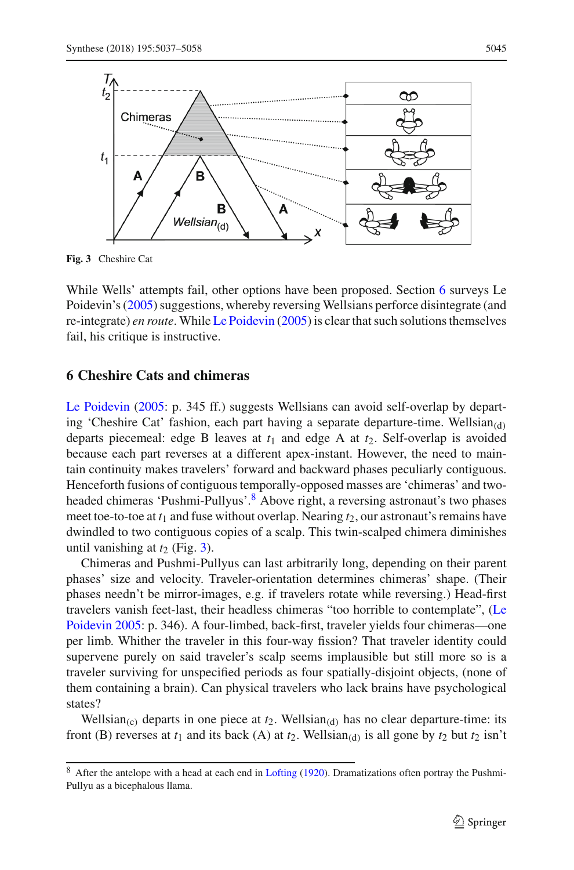

<span id="page-8-2"></span>**Fig. 3** Cheshire Cat

While Wells' attempts fail, other options have been proposed. Section [6](#page-8-0) surveys Le Poidevin's [\(2005](#page-20-3)) suggestions, whereby reversing Wellsians perforce disintegrate (and re-integrate) *en route*. While [Le Poidevin](#page-20-3) [\(2005](#page-20-3)) is clear that such solutions themselves fail, his critique is instructive.

### <span id="page-8-0"></span>**6 Cheshire Cats and chimeras**

Le Poidevin [\(2005:](#page-20-3) p. 345 ff.) suggests Wellsians can avoid self-overlap by departing 'Cheshire Cat' fashion, each part having a separate departure-time. Wellsian*(*d*)* departs piecemeal: edge B leaves at *t*<sup>1</sup> and edge A at *t*2. Self-overlap is avoided because each part reverses at a different apex-instant. However, the need to maintain continuity makes travelers' forward and backward phases peculiarly contiguous. Henceforth fusions of contiguous temporally-opposed masses are 'chimeras' and two-headed chimeras 'Pushmi-Pullyus'.<sup>[8](#page-8-1)</sup> Above right, a reversing astronaut's two phases meet toe-to-toe at *t*<sup>1</sup> and fuse without overlap. Nearing *t*2, our astronaut's remains have dwindled to two contiguous copies of a scalp. This twin-scalped chimera diminishes until vanishing at  $t_2$  (Fig. [3\)](#page-8-2).

Chimeras and Pushmi-Pullyus can last arbitrarily long, depending on their parent phases' size and velocity. Traveler-orientation determines chimeras' shape. (Their phases needn't be mirror-images, e.g. if travelers rotate while reversing.) Head-first travelers [vanish](#page-20-3) [feet-last,](#page-20-3) [their](#page-20-3) [headless](#page-20-3) [chimeras](#page-20-3) ["too](#page-20-3) [horrible](#page-20-3) [to](#page-20-3) [contemplate",](#page-20-3) [\(](#page-20-3)Le Poidevin [2005](#page-20-3): p. 346). A four-limbed, back-first, traveler yields four chimeras—one per limb. Whither the traveler in this four-way fission? That traveler identity could supervene purely on said traveler's scalp seems implausible but still more so is a traveler surviving for unspecified periods as four spatially-disjoint objects, (none of them containing a brain). Can physical travelers who lack brains have psychological states?

Wellsian<sub>(c)</sub> departs in one piece at  $t_2$ . Wellsian<sub>(d)</sub> has no clear departure-time: its front (B) reverses at  $t_1$  and its back (A) at  $t_2$ . Wellsian<sub>(d)</sub> is all gone by  $t_2$  but  $t_2$  isn't

<span id="page-8-1"></span><sup>&</sup>lt;sup>8</sup> After the antelope with a head at each end in [Lofting](#page-20-11) [\(1920](#page-20-11)). Dramatizations often portray the Pushmi-Pullyu as a bicephalous llama.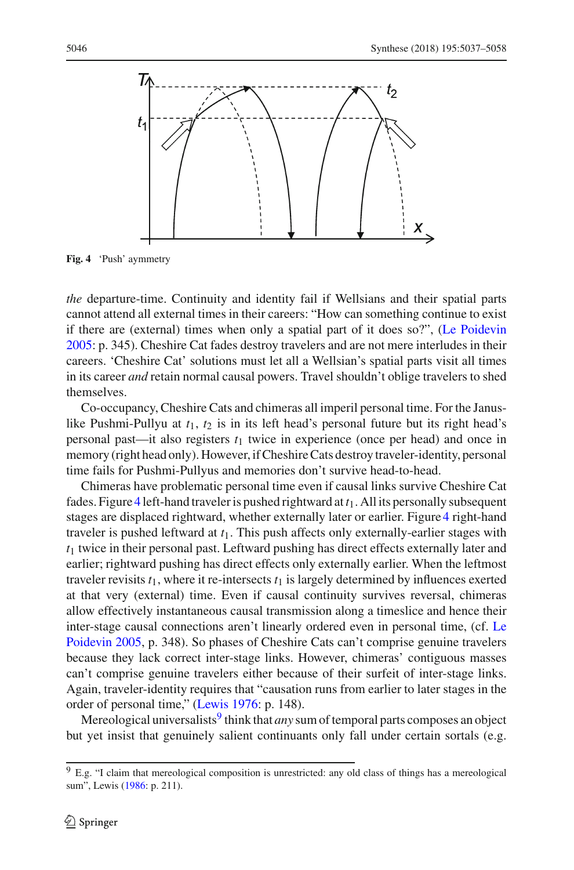

<span id="page-9-0"></span>**Fig. 4** 'Push' aymmetry

*the* departure-time. Continuity and identity fail if Wellsians and their spatial parts cannot attend all external times in their careers: "How can something continue to exist if there are (external) times when only a spatial part of it does so?", [\(Le Poidevin](#page-20-3) [2005:](#page-20-3) p. 345). Cheshire Cat fades destroy travelers and are not mere interludes in their careers. 'Cheshire Cat' solutions must let all a Wellsian's spatial parts visit all times in its career *and* retain normal causal powers. Travel shouldn't oblige travelers to shed themselves.

Co-occupancy, Cheshire Cats and chimeras all imperil personal time. For the Januslike Pushmi-Pullyu at  $t_1$ ,  $t_2$  is in its left head's personal future but its right head's personal past—it also registers *t*<sup>1</sup> twice in experience (once per head) and once in memory (right head only). However, if Cheshire Cats destroy traveler-identity, personal time fails for Pushmi-Pullyus and memories don't survive head-to-head.

Chimeras have problematic personal time even if causal links survive Cheshire Cat fades. Figure [4](#page-9-0) left-hand traveler is pushed rightward at *t*1. All its personally subsequent stages are displaced rightward, whether externally later or earlier. Figure [4](#page-9-0) right-hand traveler is pushed leftward at *t*1. This push affects only externally-earlier stages with *t*<sup>1</sup> twice in their personal past. Leftward pushing has direct effects externally later and earlier; rightward pushing has direct effects only externally earlier. When the leftmost traveler revisits  $t_1$ , where it re-intersects  $t_1$  is largely determined by influences exerted at that very (external) time. Even if causal continuity survives reversal, chimeras allow effectively instantaneous causal transmission along a timeslice and hence their inter-sta[ge](#page-20-3) [causal](#page-20-3) [connections](#page-20-3) [aren't](#page-20-3) [linearly](#page-20-3) [ordered](#page-20-3) [even](#page-20-3) [in](#page-20-3) [personal](#page-20-3) [time,](#page-20-3) [\(cf.](#page-20-3) Le Poidevin [2005](#page-20-3), p. 348). So phases of Cheshire Cats can't comprise genuine travelers because they lack correct inter-stage links. However, chimeras' contiguous masses can't comprise genuine travelers either because of their surfeit of inter-stage links. Again, traveler-identity requires that "causation runs from earlier to later stages in the order of personal time," [\(Lewis 1976:](#page-20-4) p. 148).

Mereological universalists<sup>[9](#page-9-1)</sup> think that *any* sum of temporal parts composes an object but yet insist that genuinely salient continuants only fall under certain sortals (e.g.

<span id="page-9-1"></span><sup>&</sup>lt;sup>9</sup> E.g. "I claim that mereological composition is unrestricted: any old class of things has a mereological sum", Lewis [\(1986](#page-20-12): p. 211).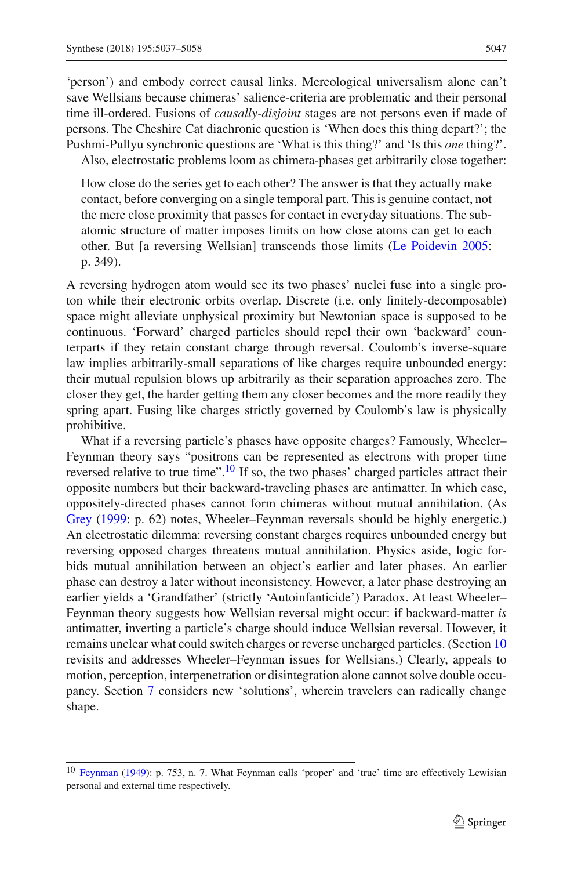'person') and embody correct causal links. Mereological universalism alone can't save Wellsians because chimeras' salience-criteria are problematic and their personal time ill-ordered. Fusions of *causally-disjoint* stages are not persons even if made of persons. The Cheshire Cat diachronic question is 'When does this thing depart?'; the Pushmi-Pullyu synchronic questions are 'What is this thing?' and 'Is this *one* thing?'.

Also, electrostatic problems loom as chimera-phases get arbitrarily close together:

How close do the series get to each other? The answer is that they actually make contact, before converging on a single temporal part. This is genuine contact, not the mere close proximity that passes for contact in everyday situations. The subatomic structure of matter imposes limits on how close atoms can get to each other. But [a reversing Wellsian] transcends those limits [\(Le Poidevin 2005:](#page-20-3) p. 349).

A reversing hydrogen atom would see its two phases' nuclei fuse into a single proton while their electronic orbits overlap. Discrete (i.e. only finitely-decomposable) space might alleviate unphysical proximity but Newtonian space is supposed to be continuous. 'Forward' charged particles should repel their own 'backward' counterparts if they retain constant charge through reversal. Coulomb's inverse-square law implies arbitrarily-small separations of like charges require unbounded energy: their mutual repulsion blows up arbitrarily as their separation approaches zero. The closer they get, the harder getting them any closer becomes and the more readily they spring apart. Fusing like charges strictly governed by Coulomb's law is physically prohibitive.

What if a reversing particle's phases have opposite charges? Famously, Wheeler– Feynman theory says "positrons can be represented as electrons with proper time reversed relative to true time".[10](#page-10-0) If so, the two phases' charged particles attract their opposite numbers but their backward-traveling phases are antimatter. In which case, oppositely-directed phases cannot form chimeras without mutual annihilation. (As [Grey](#page-20-2) [\(1999](#page-20-2): p. 62) notes, Wheeler–Feynman reversals should be highly energetic.) An electrostatic dilemma: reversing constant charges requires unbounded energy but reversing opposed charges threatens mutual annihilation. Physics aside, logic forbids mutual annihilation between an object's earlier and later phases. An earlier phase can destroy a later without inconsistency. However, a later phase destroying an earlier yields a 'Grandfather' (strictly 'Autoinfanticide') Paradox. At least Wheeler– Feynman theory suggests how Wellsian reversal might occur: if backward-matter *is* antimatter, inverting a particle's charge should induce Wellsian reversal. However, it remains unclear what could switch charges or reverse uncharged particles. (Section [10](#page-17-0) revisits and addresses Wheeler–Feynman issues for Wellsians.) Clearly, appeals to motion, perception, interpenetration or disintegration alone cannot solve double occupancy. Section [7](#page-11-0) considers new 'solutions', wherein travelers can radically change shape.

<span id="page-10-0"></span><sup>10</sup> [Feynman](#page-20-13) [\(1949\)](#page-20-13): p. 753, n. 7. What Feynman calls 'proper' and 'true' time are effectively Lewisian personal and external time respectively.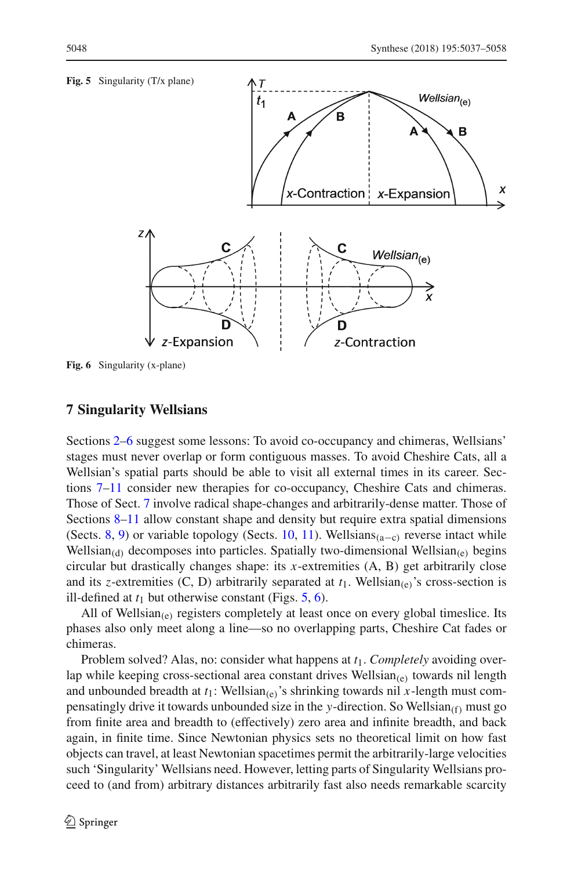<span id="page-11-1"></span>

<span id="page-11-2"></span>**Fig. 6** Singularity (x-plane)

#### <span id="page-11-0"></span>**7 Singularity Wellsians**

Sections [2–](#page-1-1)[6](#page-8-0) suggest some lessons: To avoid co-occupancy and chimeras, Wellsians' stages must never overlap or form contiguous masses. To avoid Cheshire Cats, all a Wellsian's spatial parts should be able to visit all external times in its career. Sections [7–](#page-11-0)[11](#page-19-0) consider new therapies for co-occupancy, Cheshire Cats and chimeras. Those of Sect. [7](#page-11-0) involve radical shape-changes and arbitrarily-dense matter. Those of Sections [8](#page-12-0)[–11](#page-19-0) allow constant shape and density but require extra spatial dimensions (Sects. [8,](#page-12-0) [9\)](#page-15-0) or variable topology (Sects. [10,](#page-17-0) [11\)](#page-19-0). Wellsians*(*a−c*)* reverse intact while Wellsian*(*d*)* decomposes into particles. Spatially two-dimensional Wellsian*(*e*)* begins circular but drastically changes shape: its *x*-extremities (A, B) get arbitrarily close and its *z*-extremities  $(C, D)$  arbitrarily separated at  $t_1$ . Wellsian<sub>(e)</sub>'s cross-section is ill-defined at  $t_1$  but otherwise constant (Figs.  $5, 6$  $5, 6$ ).

All of Wellsian*(*e*)* registers completely at least once on every global timeslice. Its phases also only meet along a line—so no overlapping parts, Cheshire Cat fades or chimeras.

Problem solved? Alas, no: consider what happens at *t*1. *Completely* avoiding overlap while keeping cross-sectional area constant drives Wellsian*(*e*)* towards nil length and unbounded breadth at  $t_1$ : Wellsian<sub>(e)</sub>'s shrinking towards nil *x*-length must compensatingly drive it towards unbounded size in the *y*-direction. So Wellsian*(*f*)* must go from finite area and breadth to (effectively) zero area and infinite breadth, and back again, in finite time. Since Newtonian physics sets no theoretical limit on how fast objects can travel, at least Newtonian spacetimes permit the arbitrarily-large velocities such 'Singularity' Wellsians need. However, letting parts of Singularity Wellsians proceed to (and from) arbitrary distances arbitrarily fast also needs remarkable scarcity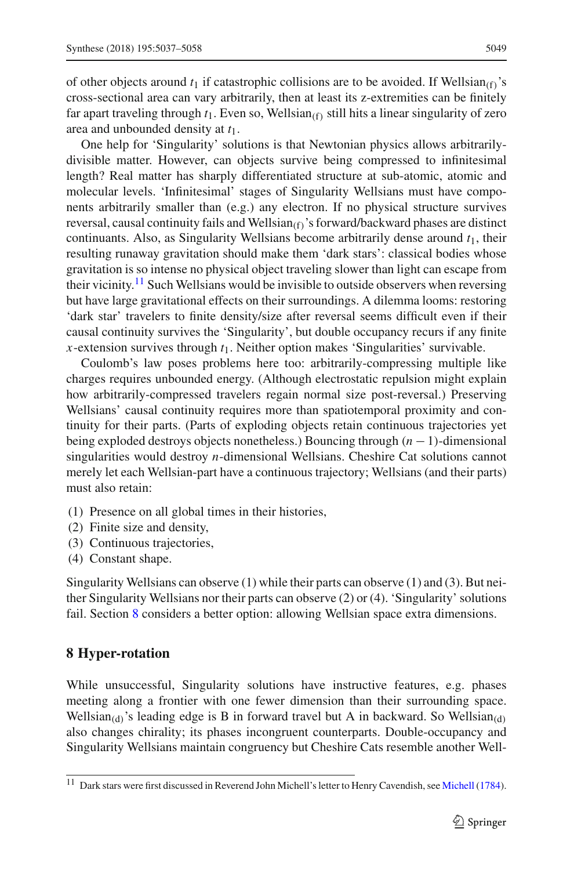of other objects around  $t_1$  if catastrophic collisions are to be avoided. If Wellsian<sub>(f)</sub>'s cross-sectional area can vary arbitrarily, then at least its z-extremities can be finitely far apart traveling through *t*1. Even so, Wellsian*(*f*)* still hits a linear singularity of zero area and unbounded density at *t*1.

One help for 'Singularity' solutions is that Newtonian physics allows arbitrarilydivisible matter. However, can objects survive being compressed to infinitesimal length? Real matter has sharply differentiated structure at sub-atomic, atomic and molecular levels. 'Infinitesimal' stages of Singularity Wellsians must have components arbitrarily smaller than (e.g.) any electron. If no physical structure survives reversal, causal continuity fails and Wellsian*(*f*)*'s forward/backward phases are distinct continuants. Also, as Singularity Wellsians become arbitrarily dense around *t*1, their resulting runaway gravitation should make them 'dark stars': classical bodies whose gravitation is so intense no physical object traveling slower than light can escape from their vicinity.<sup>11</sup> Such Wellsians would be invisible to outside observers when reversing but have large gravitational effects on their surroundings. A dilemma looms: restoring 'dark star' travelers to finite density/size after reversal seems difficult even if their causal continuity survives the 'Singularity', but double occupancy recurs if any finite *x*-extension survives through *t*1. Neither option makes 'Singularities' survivable.

Coulomb's law poses problems here too: arbitrarily-compressing multiple like charges requires unbounded energy. (Although electrostatic repulsion might explain how arbitrarily-compressed travelers regain normal size post-reversal.) Preserving Wellsians' causal continuity requires more than spatiotemporal proximity and continuity for their parts. (Parts of exploding objects retain continuous trajectories yet being exploded destroys objects nonetheless.) Bouncing through *(n* −1*)*-dimensional singularities would destroy *n*-dimensional Wellsians. Cheshire Cat solutions cannot merely let each Wellsian-part have a continuous trajectory; Wellsians (and their parts) must also retain:

- (1) Presence on all global times in their histories,
- (2) Finite size and density,
- (3) Continuous trajectories,
- (4) Constant shape.

Singularity Wellsians can observe (1) while their parts can observe (1) and (3). But neither Singularity Wellsians nor their parts can observe (2) or (4). 'Singularity' solutions fail. Section [8](#page-12-0) considers a better option: allowing Wellsian space extra dimensions.

### <span id="page-12-0"></span>**8 Hyper-rotation**

While unsuccessful, Singularity solutions have instructive features, e.g. phases meeting along a frontier with one fewer dimension than their surrounding space. Wellsian*(*d*)*'s leading edge is B in forward travel but A in backward. So Wellsian*(*d*)* also changes chirality; its phases incongruent counterparts. Double-occupancy and Singularity Wellsians maintain congruency but Cheshire Cats resemble another Well-

<span id="page-12-1"></span><sup>&</sup>lt;sup>11</sup> Dark stars were first discussed in Reverend John [Michell](#page-21-7)'s letter to Henry Cavendish, see Michell [\(1784](#page-21-7)).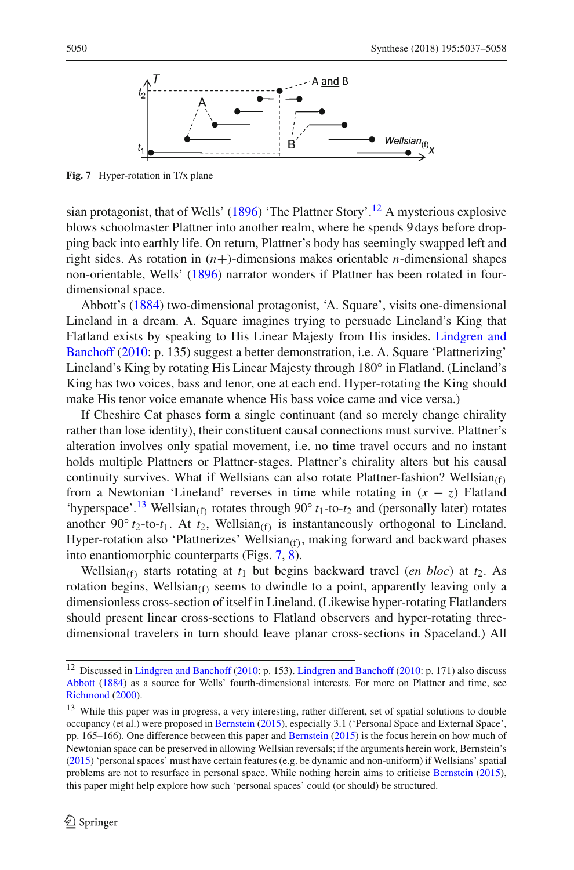

<span id="page-13-2"></span>**Fig. 7** Hyper-rotation in T/x plane

sian protagonist, that of Wells' [\(1896\)](#page-21-8) 'The Plattner Story'.<sup>12</sup> A mysterious explosive blows schoolmaster Plattner into another realm, where he spends 9 days before dropping back into earthly life. On return, Plattner's body has seemingly swapped left and right sides. As rotation in  $(n+)$ -dimensions makes orientable *n*-dimensional shapes non-orientable, Wells' [\(1896\)](#page-21-8) narrator wonders if Plattner has been rotated in fourdimensional space.

Abbott's [\(1884](#page-20-5)) two-dimensional protagonist, 'A. Square', visits one-dimensional Lineland in a dream. A. Square imagines trying to persuade Lineland's King that Flatland [exists](#page-20-14) [by](#page-20-14) [speaking](#page-20-14) [to](#page-20-14) [His](#page-20-14) [Linear](#page-20-14) [Majesty](#page-20-14) [from](#page-20-14) [His](#page-20-14) [insides.](#page-20-14) Lindgren and Banchoff [\(2010](#page-20-14): p. 135) suggest a better demonstration, i.e. A. Square 'Plattnerizing' Lineland's King by rotating His Linear Majesty through 180◦ in Flatland. (Lineland's King has two voices, bass and tenor, one at each end. Hyper-rotating the King should make His tenor voice emanate whence His bass voice came and vice versa.)

If Cheshire Cat phases form a single continuant (and so merely change chirality rather than lose identity), their constituent causal connections must survive. Plattner's alteration involves only spatial movement, i.e. no time travel occurs and no instant holds multiple Plattners or Plattner-stages. Plattner's chirality alters but his causal continuity survives. What if Wellsians can also rotate Plattner-fashion? Wellsian*(*f*)* from a Newtonian 'Lineland' reverses in time while rotating in  $(x - z)$  Flatland 'hyperspace'[.13](#page-13-1) Wellsian*(*f*)* rotates through 90◦ *t*1-to-*t*<sup>2</sup> and (personally later) rotates another  $90° t_2$ -to- $t_1$ . At  $t_2$ , Wellsian<sub>(f)</sub> is instantaneously orthogonal to Lineland. Hyper-rotation also 'Plattnerizes' Wellsian*(*f*)*, making forward and backward phases into enantiomorphic counterparts (Figs. [7,](#page-13-2) [8\)](#page-14-0).

Wellsian<sub>(f)</sub> starts rotating at  $t_1$  but begins backward travel (*en bloc*) at  $t_2$ . As rotation begins, Wellsian*(*f*)* seems to dwindle to a point, apparently leaving only a dimensionless cross-section of itself in Lineland. (Likewise hyper-rotating Flatlanders should present linear cross-sections to Flatland observers and hyper-rotating threedimensional travelers in turn should leave planar cross-sections in Spaceland.) All

<span id="page-13-0"></span><sup>&</sup>lt;sup>12</sup> Discussed in [Lindgren and Banchoff](#page-20-14) [\(2010:](#page-20-14) p. 153). Lindgren and Banchoff [\(2010](#page-20-14): p. 171) also discuss [Abbott](#page-20-5) [\(1884\)](#page-20-5) as a source for Wells' fourth-dimensional interests. For more on Plattner and time, see [Richmond](#page-21-3) [\(2000\)](#page-21-3).

<span id="page-13-1"></span><sup>&</sup>lt;sup>13</sup> While this paper was in progress, a very interesting, rather different, set of spatial solutions to double occupancy (et al.) were proposed in [Bernstein](#page-20-15) [\(2015\)](#page-20-15), especially 3.1 ('Personal Space and External Space', pp. 165–166). One difference between this paper and [Bernstein](#page-20-15) [\(2015](#page-20-15)) is the focus herein on how much of Newtonian space can be preserved in allowing Wellsian reversals; if the arguments herein work, Bernstein's [\(2015](#page-20-15)) 'personal spaces' must have certain features (e.g. be dynamic and non-uniform) if Wellsians' spatial problems are not to resurface in personal space. While nothing herein aims to criticise [Bernstein](#page-20-15) [\(2015](#page-20-15)), this paper might help explore how such 'personal spaces' could (or should) be structured.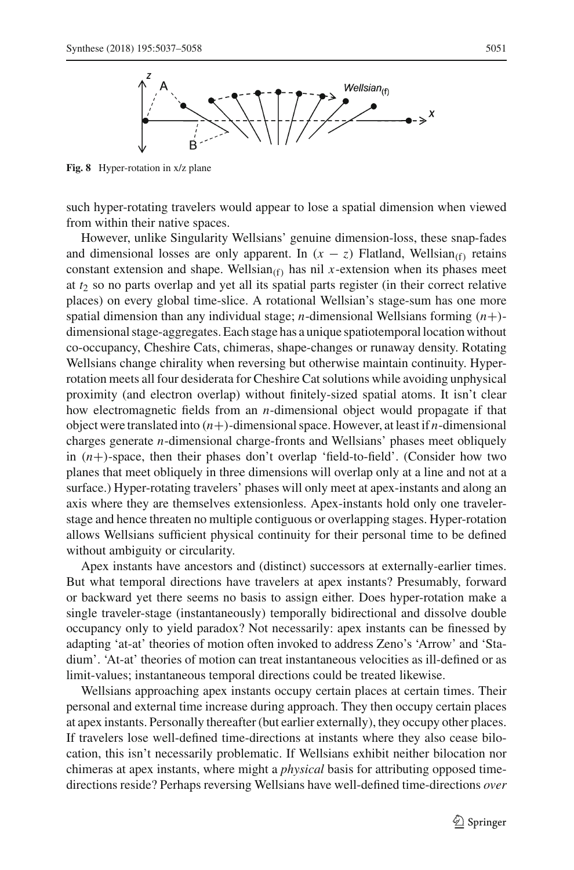

<span id="page-14-0"></span>Fig. 8 Hyper-rotation in x/z plane

such hyper-rotating travelers would appear to lose a spatial dimension when viewed from within their native spaces.

However, unlike Singularity Wellsians' genuine dimension-loss, these snap-fades and dimensional losses are only apparent. In  $(x - z)$  Flatland, Wellsian<sub>(f)</sub> retains constant extension and shape. Wellsian $(f)$  has nil *x*-extension when its phases meet at  $t_2$  so no parts overlap and yet all its spatial parts register (in their correct relative places) on every global time-slice. A rotational Wellsian's stage-sum has one more spatial dimension than any individual stage; *n*-dimensional Wellsians forming  $(n+)$ dimensional stage-aggregates. Each stage has a unique spatiotemporal location without co-occupancy, Cheshire Cats, chimeras, shape-changes or runaway density. Rotating Wellsians change chirality when reversing but otherwise maintain continuity. Hyperrotation meets all four desiderata for Cheshire Cat solutions while avoiding unphysical proximity (and electron overlap) without finitely-sized spatial atoms. It isn't clear how electromagnetic fields from an *n*-dimensional object would propagate if that object were translated into  $(n+)$ -dimensional space. However, at least if *n*-dimensional charges generate *n*-dimensional charge-fronts and Wellsians' phases meet obliquely in  $(n+)$ -space, then their phases don't overlap 'field-to-field'. (Consider how two planes that meet obliquely in three dimensions will overlap only at a line and not at a surface.) Hyper-rotating travelers' phases will only meet at apex-instants and along an axis where they are themselves extensionless. Apex-instants hold only one travelerstage and hence threaten no multiple contiguous or overlapping stages. Hyper-rotation allows Wellsians sufficient physical continuity for their personal time to be defined without ambiguity or circularity.

Apex instants have ancestors and (distinct) successors at externally-earlier times. But what temporal directions have travelers at apex instants? Presumably, forward or backward yet there seems no basis to assign either. Does hyper-rotation make a single traveler-stage (instantaneously) temporally bidirectional and dissolve double occupancy only to yield paradox? Not necessarily: apex instants can be finessed by adapting 'at-at' theories of motion often invoked to address Zeno's 'Arrow' and 'Stadium'. 'At-at' theories of motion can treat instantaneous velocities as ill-defined or as limit-values; instantaneous temporal directions could be treated likewise.

Wellsians approaching apex instants occupy certain places at certain times. Their personal and external time increase during approach. They then occupy certain places at apex instants. Personally thereafter (but earlier externally), they occupy other places. If travelers lose well-defined time-directions at instants where they also cease bilocation, this isn't necessarily problematic. If Wellsians exhibit neither bilocation nor chimeras at apex instants, where might a *physical* basis for attributing opposed timedirections reside? Perhaps reversing Wellsians have well-defined time-directions *over*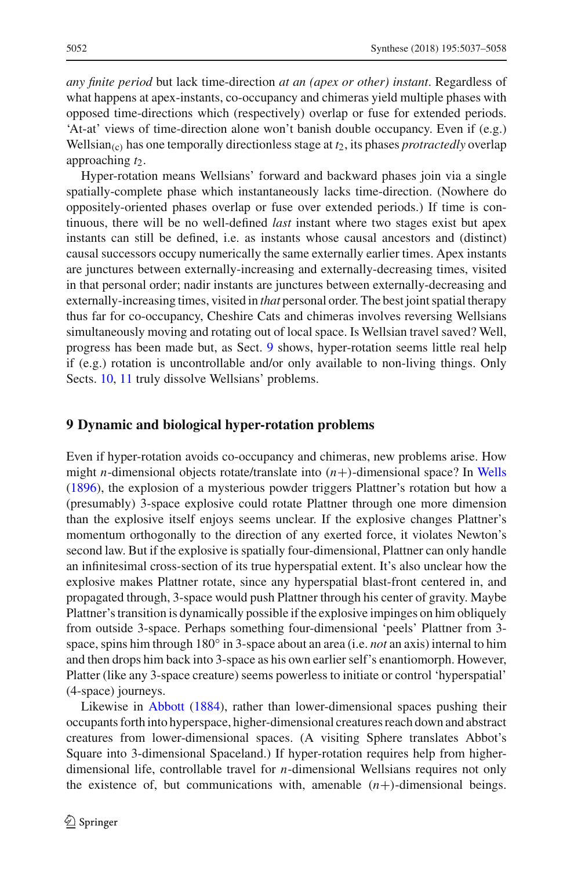*any finite period* but lack time-direction *at an (apex or other) instant*. Regardless of what happens at apex-instants, co-occupancy and chimeras yield multiple phases with opposed time-directions which (respectively) overlap or fuse for extended periods. 'At-at' views of time-direction alone won't banish double occupancy. Even if (e.g.) Wellsian<sub>(c)</sub> has one temporally directionless stage at  $t_2$ , its phases *protractedly* overlap approaching *t*2.

Hyper-rotation means Wellsians' forward and backward phases join via a single spatially-complete phase which instantaneously lacks time-direction. (Nowhere do oppositely-oriented phases overlap or fuse over extended periods.) If time is continuous, there will be no well-defined *last* instant where two stages exist but apex instants can still be defined, i.e. as instants whose causal ancestors and (distinct) causal successors occupy numerically the same externally earlier times. Apex instants are junctures between externally-increasing and externally-decreasing times, visited in that personal order; nadir instants are junctures between externally-decreasing and externally-increasing times, visited in *that* personal order. The best joint spatial therapy thus far for co-occupancy, Cheshire Cats and chimeras involves reversing Wellsians simultaneously moving and rotating out of local space. Is Wellsian travel saved? Well, progress has been made but, as Sect. [9](#page-15-0) shows, hyper-rotation seems little real help if (e.g.) rotation is uncontrollable and/or only available to non-living things. Only Sects. [10,](#page-17-0) [11](#page-19-0) truly dissolve Wellsians' problems.

#### <span id="page-15-0"></span>**9 Dynamic and biological hyper-rotation problems**

Even if hyper-rotation avoids co-occupancy and chimeras, new problems arise. How might *n*-dimensional objects rotate/translate into *(n*+*)*-dimensional space? In [Wells](#page-21-8) [\(1896\)](#page-21-8), the explosion of a mysterious powder triggers Plattner's rotation but how a (presumably) 3-space explosive could rotate Plattner through one more dimension than the explosive itself enjoys seems unclear. If the explosive changes Plattner's momentum orthogonally to the direction of any exerted force, it violates Newton's second law. But if the explosive is spatially four-dimensional, Plattner can only handle an infinitesimal cross-section of its true hyperspatial extent. It's also unclear how the explosive makes Plattner rotate, since any hyperspatial blast-front centered in, and propagated through, 3-space would push Plattner through his center of gravity. Maybe Plattner's transition is dynamically possible if the explosive impinges on him obliquely from outside 3-space. Perhaps something four-dimensional 'peels' Plattner from 3 space, spins him through 180◦ in 3-space about an area (i.e. *not* an axis) internal to him and then drops him back into 3-space as his own earlier self's enantiomorph. However, Platter (like any 3-space creature) seems powerless to initiate or control 'hyperspatial' (4-space) journeys.

Likewise in [Abbott](#page-20-5) [\(1884\)](#page-20-5), rather than lower-dimensional spaces pushing their occupants forth into hyperspace, higher-dimensional creatures reach down and abstract creatures from lower-dimensional spaces. (A visiting Sphere translates Abbot's Square into 3-dimensional Spaceland.) If hyper-rotation requires help from higherdimensional life, controllable travel for *n*-dimensional Wellsians requires not only the existence of, but communications with, amenable  $(n+)$ -dimensional beings.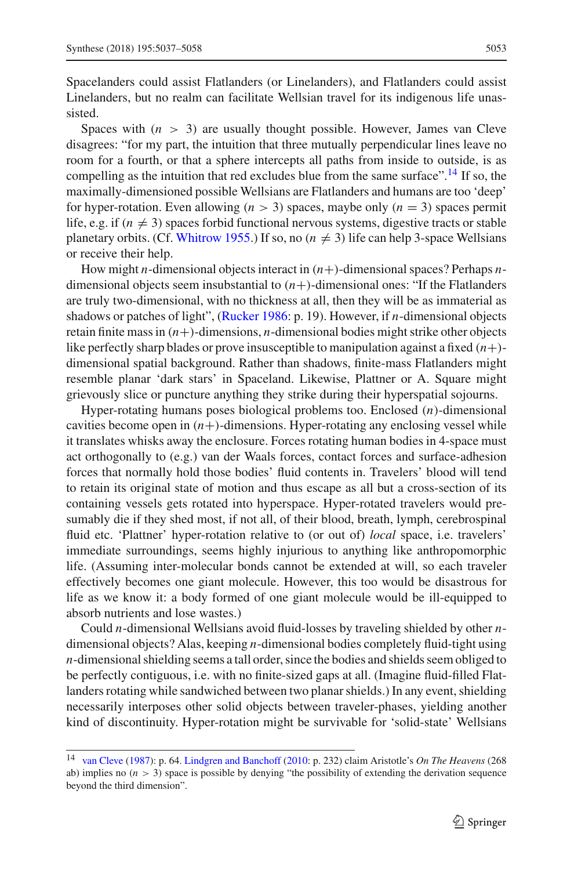Spacelanders could assist Flatlanders (or Linelanders), and Flatlanders could assist Linelanders, but no realm can facilitate Wellsian travel for its indigenous life unassisted.

Spaces with  $(n > 3)$  are usually thought possible. However, James van Cleve disagrees: "for my part, the intuition that three mutually perpendicular lines leave no room for a fourth, or that a sphere intercepts all paths from inside to outside, is as compelling as the intuition that red excludes blue from the same surface".<sup>[14](#page-16-0)</sup> If so, the maximally-dimensioned possible Wellsians are Flatlanders and humans are too 'deep' for hyper-rotation. Even allowing  $(n > 3)$  spaces, maybe only  $(n = 3)$  spaces permit life, e.g. if  $(n \neq 3)$  spaces forbid functional nervous systems, digestive tracts or stable planetary orbits. (Cf. [Whitrow 1955.](#page-21-9)) If so, no  $(n \neq 3)$  life can help 3-space Wellsians or receive their help.

How might *n*-dimensional objects interact in *(n*+*)*-dimensional spaces? Perhaps *n*dimensional objects seem insubstantial to  $(n+)$ -dimensional ones: "If the Flatlanders" are truly two-dimensional, with no thickness at all, then they will be as immaterial as shadows or patches of light", [\(Rucker 1986](#page-21-2): p. 19). However, if *n*-dimensional objects retain finite mass in  $(n+)$ -dimensions, *n*-dimensional bodies might strike other objects like perfectly sharp blades or prove insusceptible to manipulation against a fixed *(n*+*)* dimensional spatial background. Rather than shadows, finite-mass Flatlanders might resemble planar 'dark stars' in Spaceland. Likewise, Plattner or A. Square might grievously slice or puncture anything they strike during their hyperspatial sojourns.

Hyper-rotating humans poses biological problems too. Enclosed *(n)*-dimensional cavities become open in  $(n+)$ -dimensions. Hyper-rotating any enclosing vessel while it translates whisks away the enclosure. Forces rotating human bodies in 4-space must act orthogonally to (e.g.) van der Waals forces, contact forces and surface-adhesion forces that normally hold those bodies' fluid contents in. Travelers' blood will tend to retain its original state of motion and thus escape as all but a cross-section of its containing vessels gets rotated into hyperspace. Hyper-rotated travelers would presumably die if they shed most, if not all, of their blood, breath, lymph, cerebrospinal fluid etc. 'Plattner' hyper-rotation relative to (or out of) *local* space, i.e. travelers' immediate surroundings, seems highly injurious to anything like anthropomorphic life. (Assuming inter-molecular bonds cannot be extended at will, so each traveler effectively becomes one giant molecule. However, this too would be disastrous for life as we know it: a body formed of one giant molecule would be ill-equipped to absorb nutrients and lose wastes.)

Could *n*-dimensional Wellsians avoid fluid-losses by traveling shielded by other *n*dimensional objects? Alas, keeping *n*-dimensional bodies completely fluid-tight using *n*-dimensional shielding seems a tall order, since the bodies and shields seem obliged to be perfectly contiguous, i.e. with no finite-sized gaps at all. (Imagine fluid-filled Flatlanders rotating while sandwiched between two planar shields.) In any event, shielding necessarily interposes other solid objects between traveler-phases, yielding another kind of discontinuity. Hyper-rotation might be survivable for 'solid-state' Wellsians

<span id="page-16-0"></span><sup>14</sup> [van Cleve](#page-21-10) [\(1987\)](#page-21-10): p. 64. [Lindgren and Banchoff](#page-20-14) [\(2010:](#page-20-14) p. 232) claim Aristotle's *On The Heavens* (268 ab) implies no  $(n > 3)$  space is possible by denying "the possibility of extending the derivation sequence beyond the third dimension".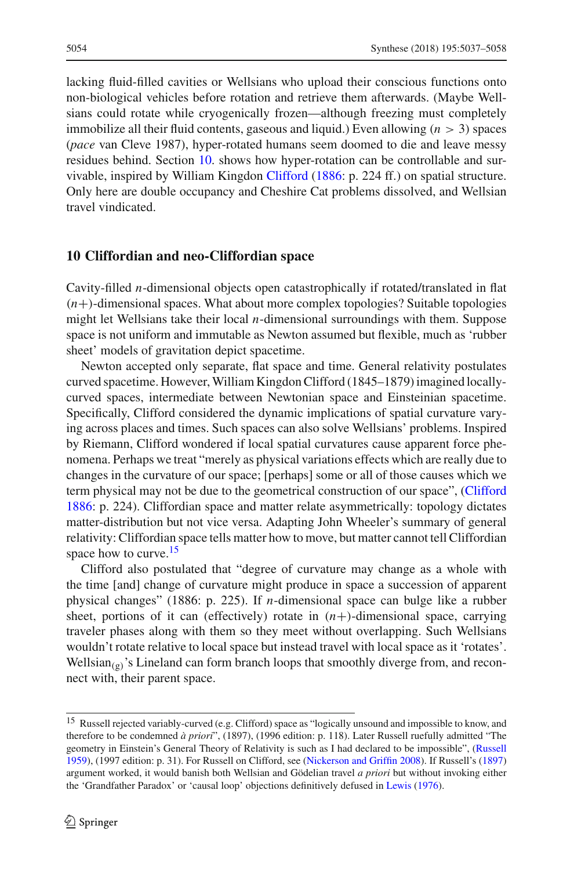lacking fluid-filled cavities or Wellsians who upload their conscious functions onto non-biological vehicles before rotation and retrieve them afterwards. (Maybe Wellsians could rotate while cryogenically frozen—although freezing must completely immobilize all their fluid contents, gaseous and liquid.) Even allowing  $(n > 3)$  spaces (*pace* van Cleve 1987), hyper-rotated humans seem doomed to die and leave messy residues behind. Section [10.](#page-17-0) shows how hyper-rotation can be controllable and survivable, inspired by William Kingdon [Clifford](#page-20-16) [\(1886:](#page-20-16) p. 224 ff.) on spatial structure. Only here are double occupancy and Cheshire Cat problems dissolved, and Wellsian travel vindicated.

#### <span id="page-17-0"></span>**10 Cliffordian and neo-Cliffordian space**

Cavity-filled *n*-dimensional objects open catastrophically if rotated/translated in flat  $(n+)$ -dimensional spaces. What about more complex topologies? Suitable topologies might let Wellsians take their local *n*-dimensional surroundings with them. Suppose space is not uniform and immutable as Newton assumed but flexible, much as 'rubber sheet' models of gravitation depict spacetime.

Newton accepted only separate, flat space and time. General relativity postulates curved spacetime. However,William Kingdon Clifford (1845–1879) imagined locallycurved spaces, intermediate between Newtonian space and Einsteinian spacetime. Specifically, Clifford considered the dynamic implications of spatial curvature varying across places and times. Such spaces can also solve Wellsians' problems. Inspired by Riemann, Clifford wondered if local spatial curvatures cause apparent force phenomena. Perhaps we treat "merely as physical variations effects which are really due to changes in the curvature of our space; [perhaps] some or all of those causes which we term physical may not be due to the geometrical construction of our space", [\(Clifford](#page-20-16) [1886:](#page-20-16) p. 224). Cliffordian space and matter relate asymmetrically: topology dictates matter-distribution but not vice versa. Adapting John Wheeler's summary of general relativity: Cliffordian space tells matter how to move, but matter cannot tell Cliffordian space how to curve.<sup>[15](#page-17-1)</sup>

Clifford also postulated that "degree of curvature may change as a whole with the time [and] change of curvature might produce in space a succession of apparent physical changes" (1886: p. 225). If *n*-dimensional space can bulge like a rubber sheet, portions of it can (effectively) rotate in  $(n+)$ -dimensional space, carrying traveler phases along with them so they meet without overlapping. Such Wellsians wouldn't rotate relative to local space but instead travel with local space as it 'rotates'. Wellsian<sub>( $g$ </sub>)'s Lineland can form branch loops that smoothly diverge from, and reconnect with, their parent space.

<span id="page-17-1"></span><sup>&</sup>lt;sup>15</sup> Russell rejected variably-curved (e.g. Clifford) space as "logically unsound and impossible to know, and therefore to be condemned *à priori*", (1897), (1996 edition: p. 118). Later Russell ruefully admitted "The geometry in Einstein's General Theory of Relativity is such as I had declared to be impossible", [\(Russell](#page-21-11) [1959\)](#page-21-11), (1997 edition: p. 31). For Russell on Clifford, see [\(Nickerson and Griffin 2008](#page-21-12)). If Russell's [\(1897](#page-21-13)) argument worked, it would banish both Wellsian and Gödelian travel *a priori* but without invoking either the 'Grandfather Paradox' or 'causal loop' objections definitively defused in [Lewis](#page-20-4) [\(1976\)](#page-20-4).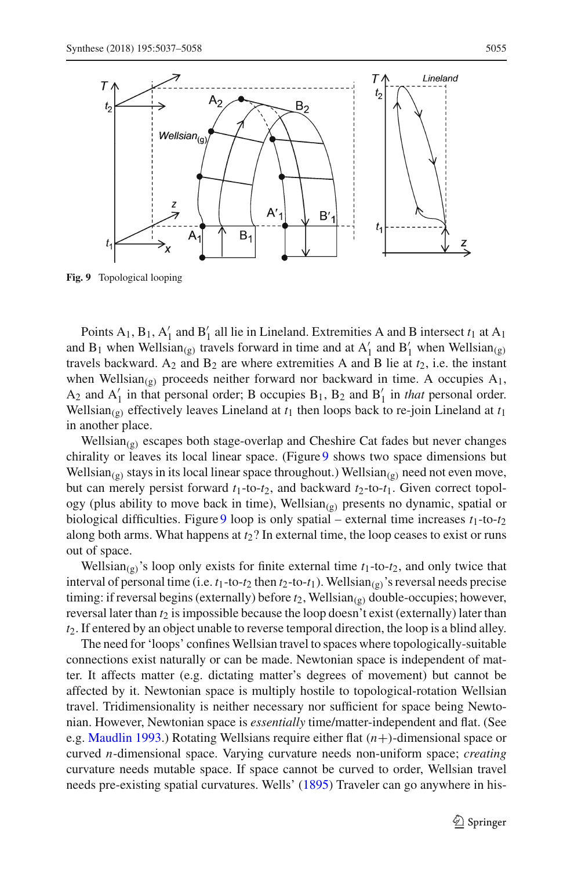

<span id="page-18-0"></span>**Fig. 9** Topological looping

Points  $A_1$ ,  $B_1$ ,  $A'_1$  and  $B'_1$  all lie in Lineland. Extremities A and B intersect  $t_1$  at  $A_1$ and  $B_1$  when Wellsian<sub>(g)</sub> travels forward in time and at  $A'_1$  and  $B'_1$  when Wellsian<sub>(g)</sub> travels backward.  $A_2$  and  $B_2$  are where extremities A and B lie at  $t_2$ , i.e. the instant when Wellsian<sub>(g)</sub> proceeds neither forward nor backward in time. A occupies  $A_1$ ,  $A_2$  and  $A'_1$  in that personal order; B occupies  $B_1$ ,  $B_2$  and  $B'_1$  in *that* personal order. Wellsian<sub>(g)</sub> effectively leaves Lineland at  $t_1$  then loops back to re-join Lineland at  $t_1$ in another place.

Wellsian<sub>(g)</sub> escapes both stage-overlap and Cheshire Cat fades but never changes chirality or leaves its local linear space. (Figure [9](#page-18-0) shows two space dimensions but Wellsian<sub>(g)</sub> stays in its local linear space throughout.) Wellsian<sub>(g)</sub> need not even move, but can merely persist forward  $t_1$ -to- $t_2$ , and backward  $t_2$ -to- $t_1$ . Given correct topology (plus ability to move back in time), Wellsian<sub>(g)</sub> presents no dynamic, spatial or biological difficulties. Figure [9](#page-18-0) loop is only spatial – external time increases  $t_1$ -to- $t_2$ along both arms. What happens at *t*2? In external time, the loop ceases to exist or runs out of space.

Wellsian<sub>(g)</sub>'s loop only exists for finite external time  $t_1$ -to- $t_2$ , and only twice that interval of personal time (i.e.  $t_1$ -to- $t_2$  then  $t_2$ -to- $t_1$ ). Wellsian<sub>(g)</sub>'s reversal needs precise timing: if reversal begins (externally) before *t*2, Wellsian*(*g*)* double-occupies; however, reversal later than  $t_2$  is impossible because the loop doesn't exist (externally) later than *t*2. If entered by an object unable to reverse temporal direction, the loop is a blind alley.

The need for 'loops' confines Wellsian travel to spaces where topologically-suitable connections exist naturally or can be made. Newtonian space is independent of matter. It affects matter (e.g. dictating matter's degrees of movement) but cannot be affected by it. Newtonian space is multiply hostile to topological-rotation Wellsian travel. Tridimensionality is neither necessary nor sufficient for space being Newtonian. However, Newtonian space is *essentially* time/matter-independent and flat. (See e.g. [Maudlin 1993.](#page-20-17)) Rotating Wellsians require either flat *(n*+*)*-dimensional space or curved *n*-dimensional space. Varying curvature needs non-uniform space; *creating* curvature needs mutable space. If space cannot be curved to order, Wellsian travel needs pre-existing spatial curvatures. Wells' [\(1895\)](#page-21-0) Traveler can go anywhere in his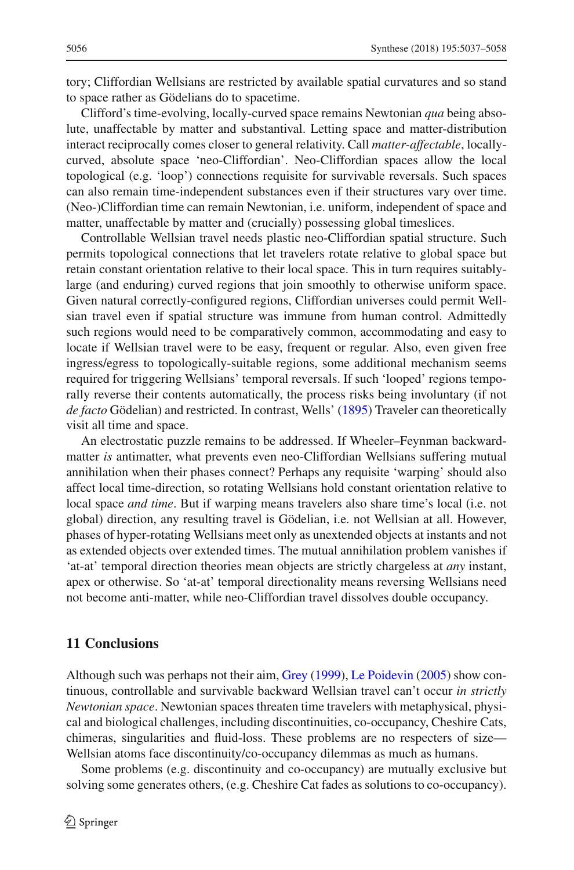tory; Cliffordian Wellsians are restricted by available spatial curvatures and so stand to space rather as Gödelians do to spacetime.

Clifford's time-evolving, locally-curved space remains Newtonian *qua* being absolute, unaffectable by matter and substantival. Letting space and matter-distribution interact reciprocally comes closer to general relativity. Call *matter-affectable*, locallycurved, absolute space 'neo-Cliffordian'. Neo-Cliffordian spaces allow the local topological (e.g. 'loop') connections requisite for survivable reversals. Such spaces can also remain time-independent substances even if their structures vary over time. (Neo-)Cliffordian time can remain Newtonian, i.e. uniform, independent of space and matter, unaffectable by matter and (crucially) possessing global timeslices.

Controllable Wellsian travel needs plastic neo-Cliffordian spatial structure. Such permits topological connections that let travelers rotate relative to global space but retain constant orientation relative to their local space. This in turn requires suitablylarge (and enduring) curved regions that join smoothly to otherwise uniform space. Given natural correctly-configured regions, Cliffordian universes could permit Wellsian travel even if spatial structure was immune from human control. Admittedly such regions would need to be comparatively common, accommodating and easy to locate if Wellsian travel were to be easy, frequent or regular. Also, even given free ingress/egress to topologically-suitable regions, some additional mechanism seems required for triggering Wellsians' temporal reversals. If such 'looped' regions temporally reverse their contents automatically, the process risks being involuntary (if not *de facto* Gödelian) and restricted. In contrast, Wells' [\(1895\)](#page-21-0) Traveler can theoretically visit all time and space.

An electrostatic puzzle remains to be addressed. If Wheeler–Feynman backwardmatter *is* antimatter, what prevents even neo-Cliffordian Wellsians suffering mutual annihilation when their phases connect? Perhaps any requisite 'warping' should also affect local time-direction, so rotating Wellsians hold constant orientation relative to local space *and time*. But if warping means travelers also share time's local (i.e. not global) direction, any resulting travel is Gödelian, i.e. not Wellsian at all. However, phases of hyper-rotating Wellsians meet only as unextended objects at instants and not as extended objects over extended times. The mutual annihilation problem vanishes if 'at-at' temporal direction theories mean objects are strictly chargeless at *any* instant, apex or otherwise. So 'at-at' temporal directionality means reversing Wellsians need not become anti-matter, while neo-Cliffordian travel dissolves double occupancy.

#### <span id="page-19-0"></span>**11 Conclusions**

Although such was perhaps not their aim, [Grey](#page-20-2) [\(1999](#page-20-2)), [Le Poidevin](#page-20-3) [\(2005](#page-20-3)) show continuous, controllable and survivable backward Wellsian travel can't occur *in strictly Newtonian space*. Newtonian spaces threaten time travelers with metaphysical, physical and biological challenges, including discontinuities, co-occupancy, Cheshire Cats, chimeras, singularities and fluid-loss. These problems are no respecters of size— Wellsian atoms face discontinuity/co-occupancy dilemmas as much as humans.

Some problems (e.g. discontinuity and co-occupancy) are mutually exclusive but solving some generates others, (e.g. Cheshire Cat fades as solutions to co-occupancy).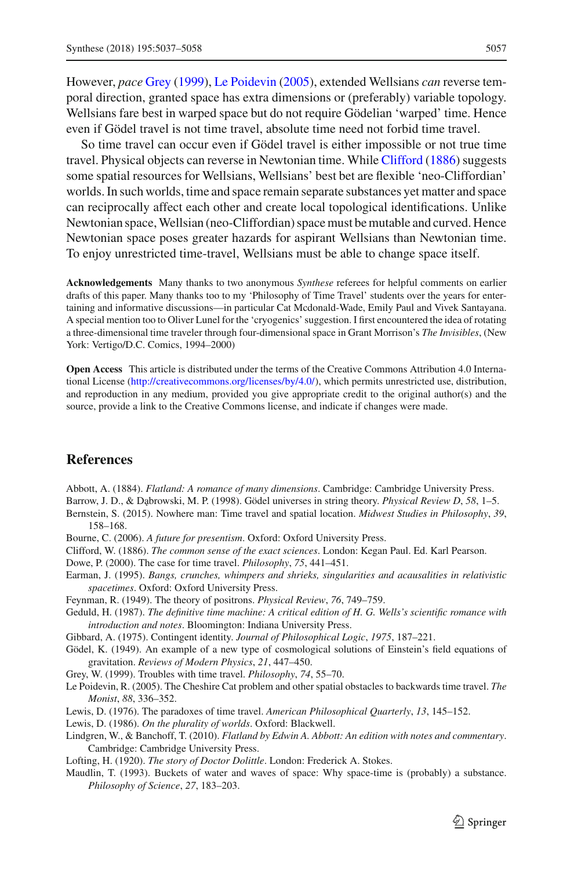However, *pace* [Grey](#page-20-2) [\(1999](#page-20-2)), [Le Poidevin](#page-20-3) [\(2005](#page-20-3)), extended Wellsians *can* reverse temporal direction, granted space has extra dimensions or (preferably) variable topology. Wellsians fare best in warped space but do not require Gödelian 'warped' time. Hence even if Gödel travel is not time travel, absolute time need not forbid time travel.

So time travel can occur even if Gödel travel is either impossible or not true time travel. Physical objects can reverse in Newtonian time. While [Clifford](#page-20-16) [\(1886](#page-20-16)) suggests some spatial resources for Wellsians, Wellsians' best bet are flexible 'neo-Cliffordian' worlds. In such worlds, time and space remain separate substances yet matter and space can reciprocally affect each other and create local topological identifications. Unlike Newtonian space,Wellsian (neo-Cliffordian) space must be mutable and curved. Hence Newtonian space poses greater hazards for aspirant Wellsians than Newtonian time. To enjoy unrestricted time-travel, Wellsians must be able to change space itself.

**Acknowledgements** Many thanks to two anonymous *Synthese* referees for helpful comments on earlier drafts of this paper. Many thanks too to my 'Philosophy of Time Travel' students over the years for entertaining and informative discussions—in particular Cat Mcdonald-Wade, Emily Paul and Vivek Santayana. A special mention too to Oliver Lunel for the 'cryogenics' suggestion. I first encountered the idea of rotating a three-dimensional time traveler through four-dimensional space in Grant Morrison's *The Invisibles*, (New York: Vertigo/D.C. Comics, 1994–2000)

**Open Access** This article is distributed under the terms of the Creative Commons Attribution 4.0 International License [\(http://creativecommons.org/licenses/by/4.0/\)](http://creativecommons.org/licenses/by/4.0/), which permits unrestricted use, distribution, and reproduction in any medium, provided you give appropriate credit to the original author(s) and the source, provide a link to the Creative Commons license, and indicate if changes were made.

#### **References**

<span id="page-20-5"></span>Abbott, A. (1884). *Flatland: A romance of many dimensions*. Cambridge: Cambridge University Press.

<span id="page-20-10"></span>Barrow, J. D., & Da˛browski, M. P. (1998). Gödel universes in string theory. *Physical Review D*, *58*, 1–5.

<span id="page-20-15"></span>Bernstein, S. (2015). Nowhere man: Time travel and spatial location. *Midwest Studies in Philosophy*, *39*, 158–168.

- <span id="page-20-9"></span>Bourne, C. (2006). *A future for presentism*. Oxford: Oxford University Press.
- <span id="page-20-16"></span>Clifford, W. (1886). *The common sense of the exact sciences*. London: Kegan Paul. Ed. Karl Pearson.
- <span id="page-20-6"></span>Dowe, P. (2000). The case for time travel. *Philosophy*, *75*, 441–451.
- <span id="page-20-1"></span>Earman, J. (1995). *Bangs, crunches, whimpers and shrieks, singularities and acausalities in relativistic spacetimes*. Oxford: Oxford University Press.

<span id="page-20-13"></span>Feynman, R. (1949). The theory of positrons. *Physical Review*, *76*, 749–759.

- <span id="page-20-7"></span>Geduld, H. (1987). *The definitive time machine: A critical edition of H. G. Wells's scientific romance with introduction and notes*. Bloomington: Indiana University Press.
- <span id="page-20-8"></span>Gibbard, A. (1975). Contingent identity. *Journal of Philosophical Logic*, *1975*, 187–221.
- <span id="page-20-0"></span>Gödel, K. (1949). An example of a new type of cosmological solutions of Einstein's field equations of gravitation. *Reviews of Modern Physics*, *21*, 447–450.

<span id="page-20-2"></span>Grey, W. (1999). Troubles with time travel. *Philosophy*, *74*, 55–70.

- <span id="page-20-3"></span>Le Poidevin, R. (2005). The Cheshire Cat problem and other spatial obstacles to backwards time travel. *The Monist*, *88*, 336–352.
- <span id="page-20-4"></span>Lewis, D. (1976). The paradoxes of time travel. *American Philosophical Quarterly*, *13*, 145–152.
- <span id="page-20-12"></span>Lewis, D. (1986). *On the plurality of worlds*. Oxford: Blackwell.
- <span id="page-20-14"></span>Lindgren, W., & Banchoff, T. (2010). *Flatland by Edwin A. Abbott: An edition with notes and commentary*. Cambridge: Cambridge University Press.
- <span id="page-20-11"></span>Lofting, H. (1920). *The story of Doctor Dolittle*. London: Frederick A. Stokes.
- <span id="page-20-17"></span>Maudlin, T. (1993). Buckets of water and waves of space: Why space-time is (probably) a substance. *Philosophy of Science*, *27*, 183–203.